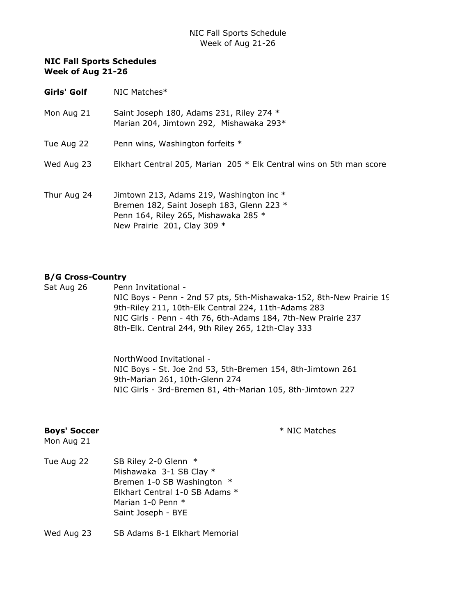- Girls' Golf NIC Matches\*
- Mon Aug 21 Saint Joseph 180, Adams 231, Riley 274  $*$ Marian 204, Jimtown 292, Mishawaka 293\*
- Tue Aug 22 Penn wins, Washington forfeits \*
- Wed Aug 23 Elkhart Central 205, Marian 205 \* Elk Central wins on 5th man score
- Thur Aug 24 Jimtown 213, Adams 219, Washington inc \* Bremen 182, Saint Joseph 183, Glenn 223 \* Penn 164, Riley 265, Mishawaka 285 \* New Prairie 201, Clay 309 \*

#### B/G Cross-Country

Sat Aug 26 Penn Invitational -NIC Boys - Penn - 2nd 57 pts, 5th-Mishawaka-152, 8th-New Prairie 19 9th-Riley 211, 10th-Elk Central 224, 11th-Adams 283 NIC Girls - Penn - 4th 76, 6th-Adams 184, 7th-New Prairie 237 8th-Elk. Central 244, 9th Riley 265, 12th-Clay 333

> NorthWood Invitational - NIC Boys - St. Joe 2nd 53, 5th-Bremen 154, 8th-Jimtown 261 9th-Marian 261, 10th-Glenn 274 NIC Girls - 3rd-Bremen 81, 4th-Marian 105, 8th-Jimtown 227

### Boys' Soccer **And Access 20 Access Example 20 Access Example 20 Access Example 20 Access Example 20 Access Example 20 Access Example 20 Access Example 20 Access Example 20 Access Example 20 Access Examp**

- Mon Aug 21
- Tue Aug 22 SB Riley 2-0 Glenn \* Mishawaka 3-1 SB Clay \* Bremen 1-0 SB Washington \* Elkhart Central 1-0 SB Adams \* Marian 1-0 Penn \* Saint Joseph - BYE
- Wed Aug 23 SB Adams 8-1 Elkhart Memorial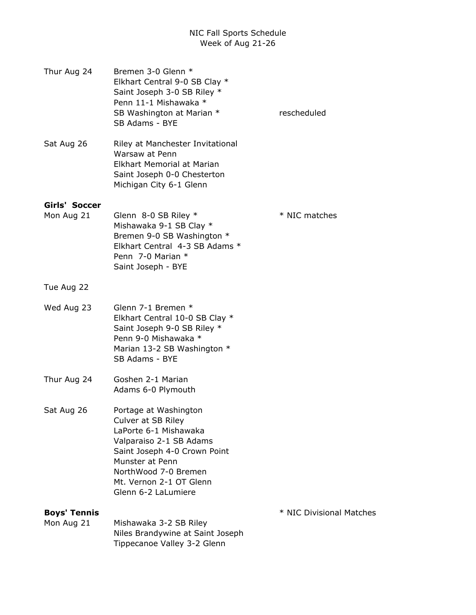| Thur Aug 24                       | Bremen 3-0 Glenn *<br>Elkhart Central 9-0 SB Clay *<br>Saint Joseph 3-0 SB Riley *<br>Penn 11-1 Mishawaka *<br>SB Washington at Marian *<br>SB Adams - BYE                                                                   | rescheduled              |
|-----------------------------------|------------------------------------------------------------------------------------------------------------------------------------------------------------------------------------------------------------------------------|--------------------------|
| Sat Aug 26                        | Riley at Manchester Invitational<br>Warsaw at Penn<br>Elkhart Memorial at Marian<br>Saint Joseph 0-0 Chesterton<br>Michigan City 6-1 Glenn                                                                                   |                          |
| Girls' Soccer<br>Mon Aug 21       | Glenn 8-0 SB Riley *<br>Mishawaka 9-1 SB Clay *<br>Bremen 9-0 SB Washington *<br>Elkhart Central 4-3 SB Adams *<br>Penn 7-0 Marian *<br>Saint Joseph - BYE                                                                   | * NIC matches            |
| Tue Aug 22                        |                                                                                                                                                                                                                              |                          |
| Wed Aug 23                        | Glenn 7-1 Bremen *<br>Elkhart Central 10-0 SB Clay *<br>Saint Joseph 9-0 SB Riley *<br>Penn 9-0 Mishawaka *<br>Marian 13-2 SB Washington *<br>SB Adams - BYE                                                                 |                          |
| Thur Aug 24                       | Goshen 2-1 Marian<br>Adams 6-0 Plymouth                                                                                                                                                                                      |                          |
| Sat Aug 26                        | Portage at Washington<br>Culver at SB Riley<br>LaPorte 6-1 Mishawaka<br>Valparaiso 2-1 SB Adams<br>Saint Joseph 4-0 Crown Point<br>Munster at Penn<br>NorthWood 7-0 Bremen<br>Mt. Vernon 2-1 OT Glenn<br>Glenn 6-2 LaLumiere |                          |
| <b>Boys' Tennis</b><br>Mon Aug 21 | Mishawaka 3-2 SB Riley                                                                                                                                                                                                       | * NIC Divisional Matches |
|                                   | Niles Brandywine at Saint Joseph<br>Tippecanoe Valley 3-2 Glenn                                                                                                                                                              |                          |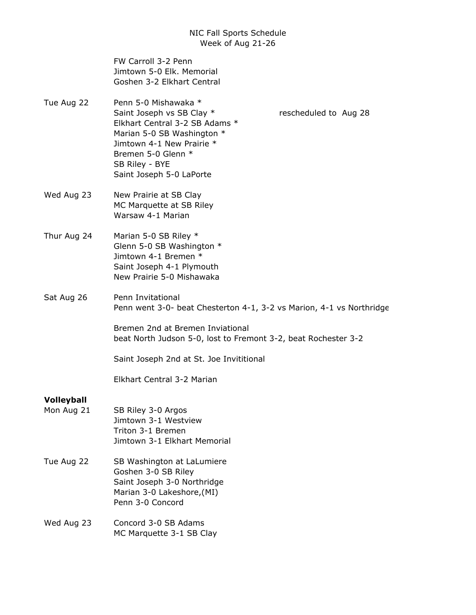FW Carroll 3-2 Penn Jimtown 5-0 Elk. Memorial Goshen 3-2 Elkhart Central

- Tue Aug 22 Penn 5-0 Mishawaka \* Saint Joseph vs SB Clay \* rescheduled to Aug 28 Elkhart Central 3-2 SB Adams \* Marian 5-0 SB Washington \* Jimtown 4-1 New Prairie \* Bremen 5-0 Glenn \* SB Riley - BYE Saint Joseph 5-0 LaPorte
- Wed Aug 23 New Prairie at SB Clay MC Marquette at SB Riley Warsaw 4-1 Marian
- Thur Aug 24 Marian 5-0 SB Riley \* Glenn 5-0 SB Washington \* Jimtown 4-1 Bremen \* Saint Joseph 4-1 Plymouth New Prairie 5-0 Mishawaka
- Sat Aug 26 Penn Invitational Penn went 3-0- beat Chesterton 4-1, 3-2 vs Marion, 4-1 vs Northridge

Bremen 2nd at Bremen Inviational beat North Judson 5-0, lost to Fremont 3-2, beat Rochester 3-2

Saint Joseph 2nd at St. Joe Invititional

Elkhart Central 3-2 Marian

# Volleyball

- Mon Aug 21 SB Riley 3-0 Argos Jimtown 3-1 Westview Triton 3-1 Bremen Jimtown 3-1 Elkhart Memorial
- Tue Aug 22 SB Washington at LaLumiere Goshen 3-0 SB Riley Saint Joseph 3-0 Northridge Marian 3-0 Lakeshore,(MI) Penn 3-0 Concord
- Wed Aug 23 Concord 3-0 SB Adams MC Marquette 3-1 SB Clay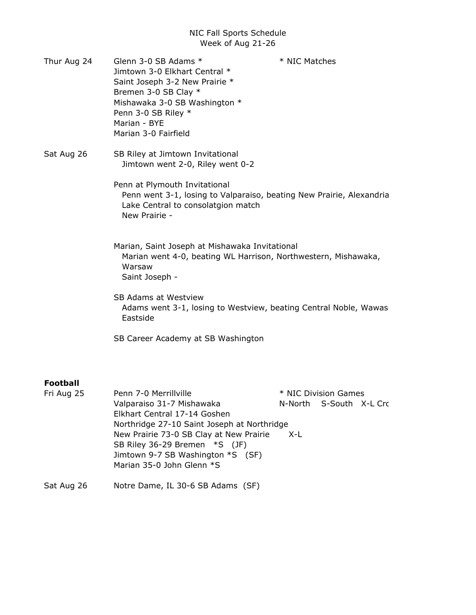- Thur Aug 24 Glenn 3-0 SB Adams \* \* \* NIC Matches Jimtown 3-0 Elkhart Central \* Saint Joseph 3-2 New Prairie \* Bremen 3-0 SB Clay \* Mishawaka 3-0 SB Washington \* Penn 3-0 SB Riley \* Marian - BYE Marian 3-0 Fairfield
- Sat Aug 26 SB Riley at Jimtown Invitational Jimtown went 2-0, Riley went 0-2

Penn at Plymouth Invitational Penn went 3-1, losing to Valparaiso, beating New Prairie, Alexandria, Lake Central to consolatgion match New Prairie -

- Marian, Saint Joseph at Mishawaka Invitational Marian went 4-0, beating WL Harrison, Northwestern, Mishawaka, Warsaw Saint Joseph -
- SB Adams at Westview Adams went 3-1, losing to Westview, beating Central Noble, Wawas Eastside
- SB Career Academy at SB Washington

# Football

| Fri Aug 25           | Penn 7-0 Merrillville                                                                                                                                                                                                                                                                                                              | * NIC Division Games |                         |  |
|----------------------|------------------------------------------------------------------------------------------------------------------------------------------------------------------------------------------------------------------------------------------------------------------------------------------------------------------------------------|----------------------|-------------------------|--|
|                      | Valparaiso 31-7 Mishawaka                                                                                                                                                                                                                                                                                                          |                      | N-North S-South X-L Cro |  |
|                      | Elkhart Central 17-14 Goshen                                                                                                                                                                                                                                                                                                       |                      |                         |  |
|                      | Northridge 27-10 Saint Joseph at Northridge                                                                                                                                                                                                                                                                                        |                      |                         |  |
|                      | New Prairie 73-0 SB Clay at New Prairie                                                                                                                                                                                                                                                                                            | X-L                  |                         |  |
|                      | SB Riley 36-29 Bremen *S (JF)                                                                                                                                                                                                                                                                                                      |                      |                         |  |
|                      | Jimtown 9-7 SB Washington *S (SF)                                                                                                                                                                                                                                                                                                  |                      |                         |  |
|                      | Marian 35-0 John Glenn *S                                                                                                                                                                                                                                                                                                          |                      |                         |  |
| $\sim$ $\sim$ $\sim$ | $\mathbf{A}$ $\mathbf{A}$ $\mathbf{A}$ $\mathbf{A}$ $\mathbf{A}$ $\mathbf{A}$ $\mathbf{A}$ $\mathbf{A}$ $\mathbf{A}$ $\mathbf{A}$ $\mathbf{A}$ $\mathbf{A}$ $\mathbf{A}$ $\mathbf{A}$ $\mathbf{A}$ $\mathbf{A}$ $\mathbf{A}$ $\mathbf{A}$ $\mathbf{A}$ $\mathbf{A}$ $\mathbf{A}$ $\mathbf{A}$ $\mathbf{A}$ $\mathbf{A}$ $\mathbf{$ |                      |                         |  |

Sat Aug 26 Notre Dame, IL 30-6 SB Adams (SF)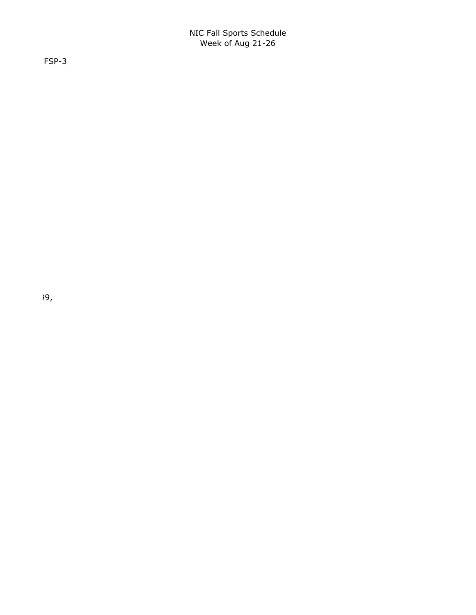FSP-3

 $\partial \Theta$ ,  $\partial \Theta$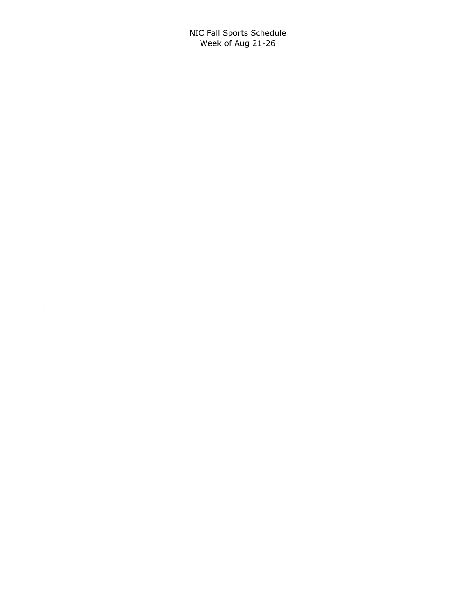Penn went 3-0- beat Chesterton 4-1, 3-2 vs Marion, 4-1 vs Northridge